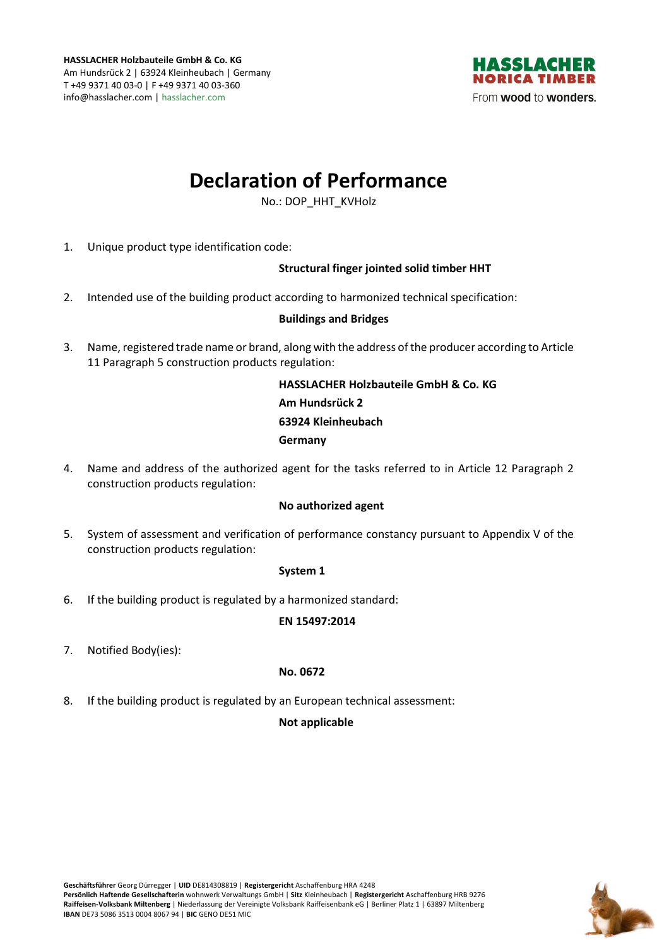

# **Declaration of Performance**

No.: DOP\_HHT\_KVHolz

1. Unique product type identification code:

# **Structural finger jointed solid timber HHT**

2. Intended use of the building product according to harmonized technical specification:

# **Buildings and Bridges**

3. Name, registered trade name or brand, along with the address of the producer according to Article 11 Paragraph 5 construction products regulation:

> **HASSLACHER Holzbauteile GmbH & Co. KG Am Hundsrück 2 63924 Kleinheubach Germany**

4. Name and address of the authorized agent for the tasks referred to in Article 12 Paragraph 2 construction products regulation:

#### **No authorized agent**

5. System of assessment and verification of performance constancy pursuant to Appendix V of the construction products regulation:

#### **System 1**

6. If the building product is regulated by a harmonized standard:

#### **EN 15497:2014**

7. Notified Body(ies):

#### **No. 0672**

8. If the building product is regulated by an European technical assessment:

# **Not applicable**